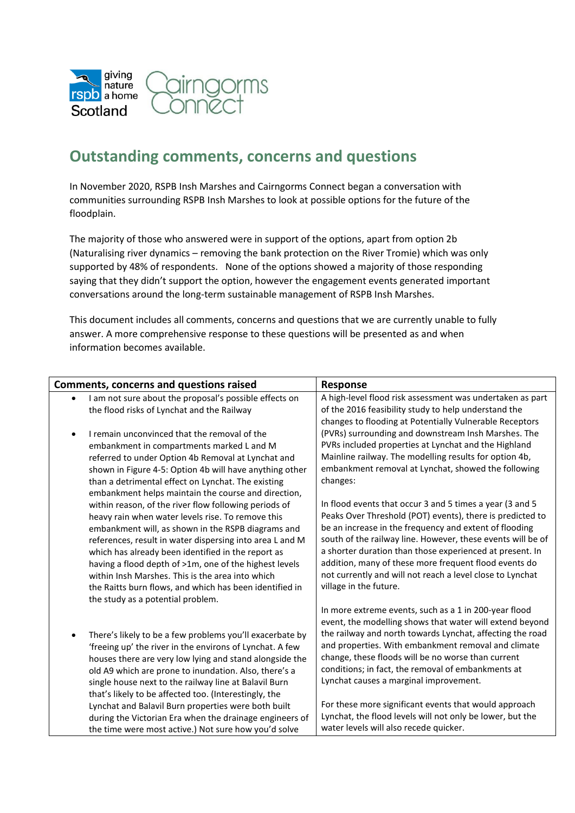

## **Outstanding comments, concerns and questions**

In November 2020, RSPB Insh Marshes and Cairngorms Connect began a conversation with communities surrounding RSPB Insh Marshes to look at possible options for the future of the floodplain.

The majority of those who answered were in support of the options, apart from option 2b (Naturalising river dynamics – removing the bank protection on the River Tromie) which was only supported by 48% of respondents. None of the options showed a majority of those responding saying that they didn't support the option, however the engagement events generated important conversations around the long-term sustainable management of RSPB Insh Marshes.

This document includes all comments, concerns and questions that we are currently unable to fully answer. A more comprehensive response to these questions will be presented as and when information becomes available.

| <b>Comments, concerns and questions raised</b>                                                                                                                                                                                                                                                                                                                                                                                                                                                                                                          | Response                                                                                                                                                                                                                                                                                                                                                                                                                                                   |
|---------------------------------------------------------------------------------------------------------------------------------------------------------------------------------------------------------------------------------------------------------------------------------------------------------------------------------------------------------------------------------------------------------------------------------------------------------------------------------------------------------------------------------------------------------|------------------------------------------------------------------------------------------------------------------------------------------------------------------------------------------------------------------------------------------------------------------------------------------------------------------------------------------------------------------------------------------------------------------------------------------------------------|
| I am not sure about the proposal's possible effects on<br>$\bullet$                                                                                                                                                                                                                                                                                                                                                                                                                                                                                     | A high-level flood risk assessment was undertaken as part                                                                                                                                                                                                                                                                                                                                                                                                  |
| the flood risks of Lynchat and the Railway                                                                                                                                                                                                                                                                                                                                                                                                                                                                                                              | of the 2016 feasibility study to help understand the                                                                                                                                                                                                                                                                                                                                                                                                       |
| I remain unconvinced that the removal of the<br>embankment in compartments marked L and M<br>referred to under Option 4b Removal at Lynchat and<br>shown in Figure 4-5: Option 4b will have anything other<br>than a detrimental effect on Lynchat. The existing                                                                                                                                                                                                                                                                                        | changes to flooding at Potentially Vulnerable Receptors<br>(PVRs) surrounding and downstream Insh Marshes. The<br>PVRs included properties at Lynchat and the Highland<br>Mainline railway. The modelling results for option 4b,<br>embankment removal at Lynchat, showed the following<br>changes:                                                                                                                                                        |
| embankment helps maintain the course and direction,<br>within reason, of the river flow following periods of<br>heavy rain when water levels rise. To remove this<br>embankment will, as shown in the RSPB diagrams and<br>references, result in water dispersing into area L and M<br>which has already been identified in the report as<br>having a flood depth of >1m, one of the highest levels<br>within Insh Marshes. This is the area into which<br>the Raitts burn flows, and which has been identified in<br>the study as a potential problem. | In flood events that occur 3 and 5 times a year (3 and 5<br>Peaks Over Threshold (POT) events), there is predicted to<br>be an increase in the frequency and extent of flooding<br>south of the railway line. However, these events will be of<br>a shorter duration than those experienced at present. In<br>addition, many of these more frequent flood events do<br>not currently and will not reach a level close to Lynchat<br>village in the future. |
| There's likely to be a few problems you'll exacerbate by<br>$\bullet$<br>'freeing up' the river in the environs of Lynchat. A few<br>houses there are very low lying and stand alongside the<br>old A9 which are prone to inundation. Also, there's a<br>single house next to the railway line at Balavil Burn<br>that's likely to be affected too. (Interestingly, the                                                                                                                                                                                 | In more extreme events, such as a 1 in 200-year flood<br>event, the modelling shows that water will extend beyond<br>the railway and north towards Lynchat, affecting the road<br>and properties. With embankment removal and climate<br>change, these floods will be no worse than current<br>conditions; in fact, the removal of embankments at<br>Lynchat causes a marginal improvement.                                                                |
| Lynchat and Balavil Burn properties were both built<br>during the Victorian Era when the drainage engineers of<br>the time were most active.) Not sure how you'd solve                                                                                                                                                                                                                                                                                                                                                                                  | For these more significant events that would approach<br>Lynchat, the flood levels will not only be lower, but the<br>water levels will also recede quicker.                                                                                                                                                                                                                                                                                               |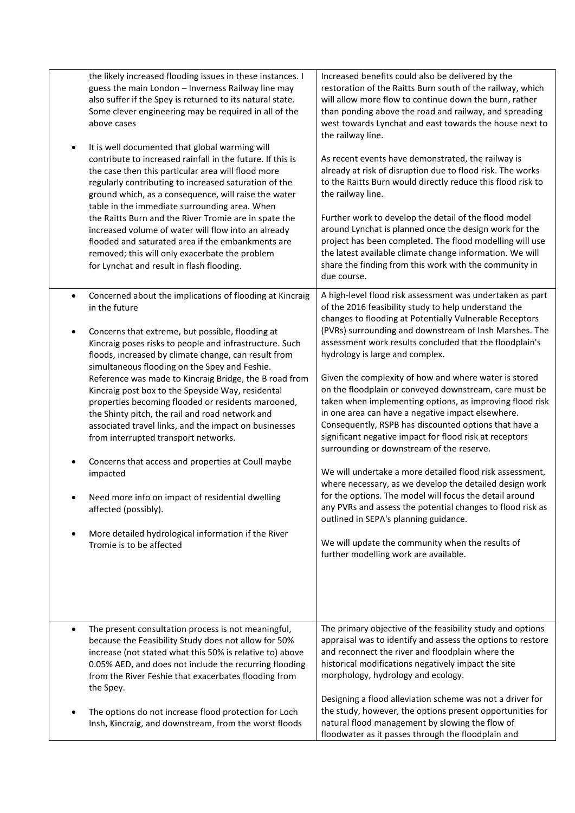| the likely increased flooding issues in these instances. I<br>guess the main London - Inverness Railway line may<br>also suffer if the Spey is returned to its natural state.<br>Some clever engineering may be required in all of the<br>above cases<br>It is well documented that global warming will<br>$\bullet$<br>contribute to increased rainfall in the future. If this is<br>the case then this particular area will flood more<br>regularly contributing to increased saturation of the<br>ground which, as a consequence, will raise the water<br>table in the immediate surrounding area. When<br>the Raitts Burn and the River Tromie are in spate the<br>increased volume of water will flow into an already<br>flooded and saturated area if the embankments are<br>removed; this will only exacerbate the problem<br>for Lynchat and result in flash flooding.                     | Increased benefits could also be delivered by the<br>restoration of the Raitts Burn south of the railway, which<br>will allow more flow to continue down the burn, rather<br>than ponding above the road and railway, and spreading<br>west towards Lynchat and east towards the house next to<br>the railway line.<br>As recent events have demonstrated, the railway is<br>already at risk of disruption due to flood risk. The works<br>to the Raitts Burn would directly reduce this flood risk to<br>the railway line.<br>Further work to develop the detail of the flood model<br>around Lynchat is planned once the design work for the<br>project has been completed. The flood modelling will use<br>the latest available climate change information. We will<br>share the finding from this work with the community in<br>due course.                                                                                                                                                                                                                                                                                 |
|----------------------------------------------------------------------------------------------------------------------------------------------------------------------------------------------------------------------------------------------------------------------------------------------------------------------------------------------------------------------------------------------------------------------------------------------------------------------------------------------------------------------------------------------------------------------------------------------------------------------------------------------------------------------------------------------------------------------------------------------------------------------------------------------------------------------------------------------------------------------------------------------------|---------------------------------------------------------------------------------------------------------------------------------------------------------------------------------------------------------------------------------------------------------------------------------------------------------------------------------------------------------------------------------------------------------------------------------------------------------------------------------------------------------------------------------------------------------------------------------------------------------------------------------------------------------------------------------------------------------------------------------------------------------------------------------------------------------------------------------------------------------------------------------------------------------------------------------------------------------------------------------------------------------------------------------------------------------------------------------------------------------------------------------|
| Concerned about the implications of flooding at Kincraig<br>$\bullet$<br>in the future<br>Concerns that extreme, but possible, flooding at<br>$\bullet$<br>Kincraig poses risks to people and infrastructure. Such<br>floods, increased by climate change, can result from<br>simultaneous flooding on the Spey and Feshie.<br>Reference was made to Kincraig Bridge, the B road from<br>Kincraig post box to the Speyside Way, residental<br>properties becoming flooded or residents marooned,<br>the Shinty pitch, the rail and road network and<br>associated travel links, and the impact on businesses<br>from interrupted transport networks.<br>Concerns that access and properties at Coull maybe<br>impacted<br>Need more info on impact of residential dwelling<br>affected (possibly).<br>More detailed hydrological information if the River<br>$\bullet$<br>Tromie is to be affected | A high-level flood risk assessment was undertaken as part<br>of the 2016 feasibility study to help understand the<br>changes to flooding at Potentially Vulnerable Receptors<br>(PVRs) surrounding and downstream of Insh Marshes. The<br>assessment work results concluded that the floodplain's<br>hydrology is large and complex.<br>Given the complexity of how and where water is stored<br>on the floodplain or conveyed downstream, care must be<br>taken when implementing options, as improving flood risk<br>in one area can have a negative impact elsewhere.<br>Consequently, RSPB has discounted options that have a<br>significant negative impact for flood risk at receptors<br>surrounding or downstream of the reserve.<br>We will undertake a more detailed flood risk assessment,<br>where necessary, as we develop the detailed design work<br>for the options. The model will focus the detail around<br>any PVRs and assess the potential changes to flood risk as<br>outlined in SEPA's planning guidance.<br>We will update the community when the results of<br>further modelling work are available. |
| The present consultation process is not meaningful,<br>$\bullet$<br>because the Feasibility Study does not allow for 50%<br>increase (not stated what this 50% is relative to) above<br>0.05% AED, and does not include the recurring flooding<br>from the River Feshie that exacerbates flooding from<br>the Spey.<br>The options do not increase flood protection for Loch<br>Insh, Kincraig, and downstream, from the worst floods                                                                                                                                                                                                                                                                                                                                                                                                                                                              | The primary objective of the feasibility study and options<br>appraisal was to identify and assess the options to restore<br>and reconnect the river and floodplain where the<br>historical modifications negatively impact the site<br>morphology, hydrology and ecology.<br>Designing a flood alleviation scheme was not a driver for<br>the study, however, the options present opportunities for<br>natural flood management by slowing the flow of<br>floodwater as it passes through the floodplain and                                                                                                                                                                                                                                                                                                                                                                                                                                                                                                                                                                                                                   |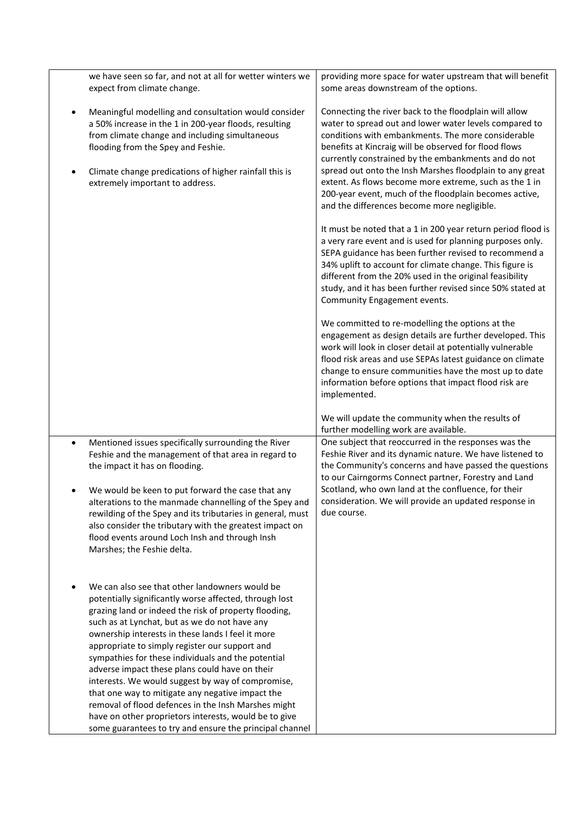| we have seen so far, and not at all for wetter winters we                                                                                                                                                                                                                                                                                                                                                                                                                                                                                                                                                                                                                                                             | providing more space for water upstream that will benefit                                                                                                                                                                                                                                                                                                                                                                                                                                                                                                                                                                                          |
|-----------------------------------------------------------------------------------------------------------------------------------------------------------------------------------------------------------------------------------------------------------------------------------------------------------------------------------------------------------------------------------------------------------------------------------------------------------------------------------------------------------------------------------------------------------------------------------------------------------------------------------------------------------------------------------------------------------------------|----------------------------------------------------------------------------------------------------------------------------------------------------------------------------------------------------------------------------------------------------------------------------------------------------------------------------------------------------------------------------------------------------------------------------------------------------------------------------------------------------------------------------------------------------------------------------------------------------------------------------------------------------|
| expect from climate change.                                                                                                                                                                                                                                                                                                                                                                                                                                                                                                                                                                                                                                                                                           | some areas downstream of the options.                                                                                                                                                                                                                                                                                                                                                                                                                                                                                                                                                                                                              |
| Meaningful modelling and consultation would consider<br>$\bullet$<br>a 50% increase in the 1 in 200-year floods, resulting<br>from climate change and including simultaneous<br>flooding from the Spey and Feshie.<br>Climate change predications of higher rainfall this is<br>extremely important to address.                                                                                                                                                                                                                                                                                                                                                                                                       | Connecting the river back to the floodplain will allow<br>water to spread out and lower water levels compared to<br>conditions with embankments. The more considerable<br>benefits at Kincraig will be observed for flood flows<br>currently constrained by the embankments and do not<br>spread out onto the Insh Marshes floodplain to any great<br>extent. As flows become more extreme, such as the 1 in<br>200-year event, much of the floodplain becomes active,<br>and the differences become more negligible.<br>It must be noted that a 1 in 200 year return period flood is<br>a very rare event and is used for planning purposes only. |
|                                                                                                                                                                                                                                                                                                                                                                                                                                                                                                                                                                                                                                                                                                                       | SEPA guidance has been further revised to recommend a<br>34% uplift to account for climate change. This figure is<br>different from the 20% used in the original feasibility<br>study, and it has been further revised since 50% stated at<br>Community Engagement events.                                                                                                                                                                                                                                                                                                                                                                         |
|                                                                                                                                                                                                                                                                                                                                                                                                                                                                                                                                                                                                                                                                                                                       | We committed to re-modelling the options at the<br>engagement as design details are further developed. This<br>work will look in closer detail at potentially vulnerable<br>flood risk areas and use SEPAs latest guidance on climate<br>change to ensure communities have the most up to date<br>information before options that impact flood risk are<br>implemented.                                                                                                                                                                                                                                                                            |
|                                                                                                                                                                                                                                                                                                                                                                                                                                                                                                                                                                                                                                                                                                                       | We will update the community when the results of<br>further modelling work are available.                                                                                                                                                                                                                                                                                                                                                                                                                                                                                                                                                          |
| Mentioned issues specifically surrounding the River<br>$\bullet$<br>Feshie and the management of that area in regard to<br>the impact it has on flooding.<br>We would be keen to put forward the case that any                                                                                                                                                                                                                                                                                                                                                                                                                                                                                                        | One subject that reoccurred in the responses was the<br>Feshie River and its dynamic nature. We have listened to<br>the Community's concerns and have passed the questions<br>to our Cairngorms Connect partner, Forestry and Land<br>Scotland, who own land at the confluence, for their                                                                                                                                                                                                                                                                                                                                                          |
| alterations to the manmade channelling of the Spey and<br>rewilding of the Spey and its tributaries in general, must<br>also consider the tributary with the greatest impact on<br>flood events around Loch Insh and through Insh<br>Marshes; the Feshie delta.                                                                                                                                                                                                                                                                                                                                                                                                                                                       | consideration. We will provide an updated response in<br>due course.                                                                                                                                                                                                                                                                                                                                                                                                                                                                                                                                                                               |
| We can also see that other landowners would be<br>potentially significantly worse affected, through lost<br>grazing land or indeed the risk of property flooding,<br>such as at Lynchat, but as we do not have any<br>ownership interests in these lands I feel it more<br>appropriate to simply register our support and<br>sympathies for these individuals and the potential<br>adverse impact these plans could have on their<br>interests. We would suggest by way of compromise,<br>that one way to mitigate any negative impact the<br>removal of flood defences in the Insh Marshes might<br>have on other proprietors interests, would be to give<br>some guarantees to try and ensure the principal channel |                                                                                                                                                                                                                                                                                                                                                                                                                                                                                                                                                                                                                                                    |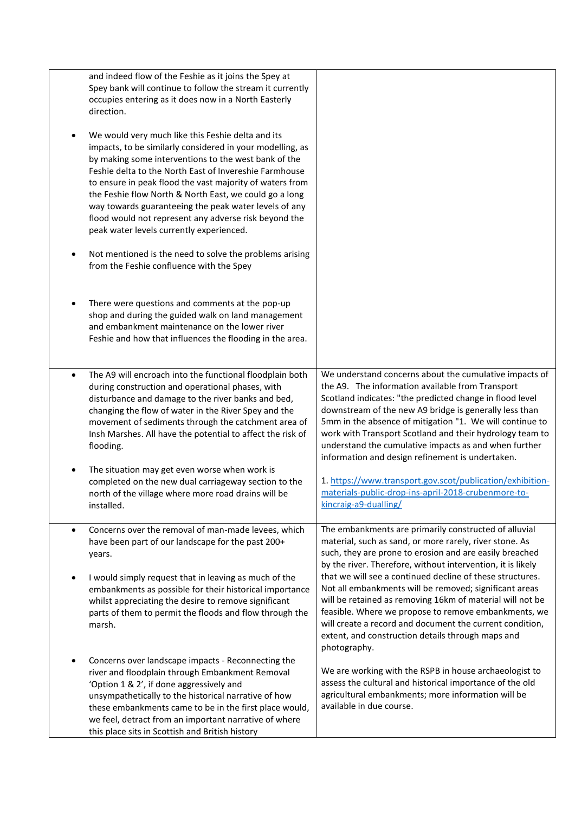|           | and indeed flow of the Feshie as it joins the Spey at<br>Spey bank will continue to follow the stream it currently<br>occupies entering as it does now in a North Easterly<br>direction.                                                                                                                                                                                                                                                                                                                             |                                                                                                                                                                                                                                                                                                                                                                                                                                                                       |
|-----------|----------------------------------------------------------------------------------------------------------------------------------------------------------------------------------------------------------------------------------------------------------------------------------------------------------------------------------------------------------------------------------------------------------------------------------------------------------------------------------------------------------------------|-----------------------------------------------------------------------------------------------------------------------------------------------------------------------------------------------------------------------------------------------------------------------------------------------------------------------------------------------------------------------------------------------------------------------------------------------------------------------|
|           | We would very much like this Feshie delta and its<br>impacts, to be similarly considered in your modelling, as<br>by making some interventions to the west bank of the<br>Feshie delta to the North East of Invereshie Farmhouse<br>to ensure in peak flood the vast majority of waters from<br>the Feshie flow North & North East, we could go a long<br>way towards guaranteeing the peak water levels of any<br>flood would not represent any adverse risk beyond the<br>peak water levels currently experienced. |                                                                                                                                                                                                                                                                                                                                                                                                                                                                       |
|           | Not mentioned is the need to solve the problems arising<br>from the Feshie confluence with the Spey                                                                                                                                                                                                                                                                                                                                                                                                                  |                                                                                                                                                                                                                                                                                                                                                                                                                                                                       |
| ٠         | There were questions and comments at the pop-up<br>shop and during the guided walk on land management<br>and embankment maintenance on the lower river<br>Feshie and how that influences the flooding in the area.                                                                                                                                                                                                                                                                                                   |                                                                                                                                                                                                                                                                                                                                                                                                                                                                       |
| $\bullet$ | The A9 will encroach into the functional floodplain both<br>during construction and operational phases, with<br>disturbance and damage to the river banks and bed,<br>changing the flow of water in the River Spey and the<br>movement of sediments through the catchment area of<br>Insh Marshes. All have the potential to affect the risk of<br>flooding.                                                                                                                                                         | We understand concerns about the cumulative impacts of<br>the A9. The information available from Transport<br>Scotland indicates: "the predicted change in flood level<br>downstream of the new A9 bridge is generally less than<br>5mm in the absence of mitigation "1. We will continue to<br>work with Transport Scotland and their hydrology team to<br>understand the cumulative impacts as and when further<br>information and design refinement is undertaken. |
| $\bullet$ | The situation may get even worse when work is<br>completed on the new dual carriageway section to the<br>north of the village where more road drains will be<br>installed.                                                                                                                                                                                                                                                                                                                                           | 1. https://www.transport.gov.scot/publication/exhibition-<br>materials-public-drop-ins-april-2018-crubenmore-to-<br>kincraig-a9-dualling/                                                                                                                                                                                                                                                                                                                             |
| $\bullet$ | Concerns over the removal of man-made levees, which<br>have been part of our landscape for the past 200+<br>years.                                                                                                                                                                                                                                                                                                                                                                                                   | The embankments are primarily constructed of alluvial<br>material, such as sand, or more rarely, river stone. As<br>such, they are prone to erosion and are easily breached<br>by the river. Therefore, without intervention, it is likely                                                                                                                                                                                                                            |
| ٠         | I would simply request that in leaving as much of the<br>embankments as possible for their historical importance<br>whilst appreciating the desire to remove significant<br>parts of them to permit the floods and flow through the<br>marsh.                                                                                                                                                                                                                                                                        | that we will see a continued decline of these structures.<br>Not all embankments will be removed; significant areas<br>will be retained as removing 16km of material will not be<br>feasible. Where we propose to remove embankments, we<br>will create a record and document the current condition,<br>extent, and construction details through maps and<br>photography.                                                                                             |
| ٠         | Concerns over landscape impacts - Reconnecting the<br>river and floodplain through Embankment Removal<br>'Option 1 & 2', if done aggressively and<br>unsympathetically to the historical narrative of how<br>these embankments came to be in the first place would,<br>we feel, detract from an important narrative of where<br>this place sits in Scottish and British history                                                                                                                                      | We are working with the RSPB in house archaeologist to<br>assess the cultural and historical importance of the old<br>agricultural embankments; more information will be<br>available in due course.                                                                                                                                                                                                                                                                  |